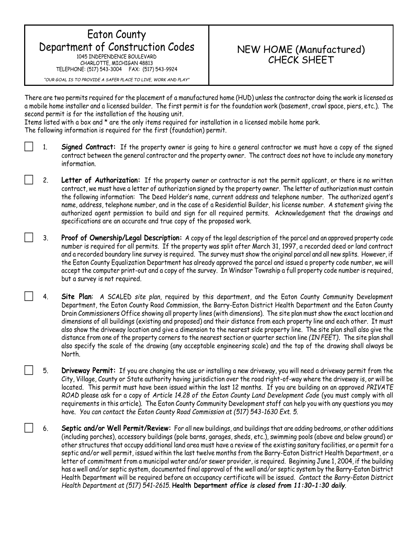## Eaton County Department of Construction Codes 1045 INDEPENDENCE BOULEVARD

CHARLOTTE, MICHIGAN 48813 TELEPHONE: (517) 543-3004 FAX: (517) 543-9924

## NEW HOME (Manufactured) CHECK SHEET

*"OUR GOAL IS TO PROVIDE A SAFER PLACE TO LIVE, WORK AND PLAY"*

There are two permits required for the placement of a manufactured home (HUD) unless the contractor doing the work is licensed as a mobile home installer and a licensed builder. The first permit is for the foundation work (basement, crawl space, piers, etc.). The second permit is for the installation of the housing unit.

Items listed with a box and \* are the only items required for installation in a licensed mobile home park.

The following information is required for the first (foundation) permit.

- 1. **Signed Contract:** If the property owner is going to hire a general contractor we must have a copy of the signed contract between the general contractor and the property owner. The contract does not have to include any monetary information.
	- 2. **Letter of Authorization:** If the property owner or contractor is not the permit applicant, or there is no written contract, we must have a letter of authorization signed by the property owner. The letter of authorization must contain the following information: The Deed Holder's name, current address and telephone number. The authorized agent's name, address, telephone number, and in the case of a Residential Builder, his license number. A statement giving the authorized agent permission to build and sign for all required permits. Acknowledgement that the drawings and specifications are an accurate and true copy of the proposed work.
- 3. **Proof of Ownership/Legal Description:** A copy of the legal description of the parcel and an approved property code number is required for all permits. If the property was split after March 31, 1997, a recorded deed or land contract and a recorded boundary line survey is required. The survey must show the original parcel and all new splits. However, if the Eaton County Equalization Department has already approved the parcel and issued a property code number, we will accept the computer print-out and a copy of the survey. In Windsor Township a full property code number is required, but a survey is not required.
- 4. **Site Plan**: A SCALED *site plan*, required by this department, and the Eaton County Community Development Department, the Eaton County Road Commission, the Barry-Eaton District Health Department and the Eaton County Drain Commissioners Office showing all property lines (with dimensions). The site plan must show the exact location and dimensions of all buildings (existing and proposed) and their distance from each property line and each other. It must also show the driveway location and give a dimension to the nearest side property line. The site plan shall also give the distance from one of the property corners to the nearest section or quarter section line *(IN FEET)***.** The site plan shall also specify the scale of the drawing (any acceptable engineering scale) and the top of the drawing shall always be North.
- 5. **Driveway Permit:** If you are changing the use or installing a new driveway, you will need a driveway permit from the City, Village, County or State authority having jurisdiction over the road right-of-way where the driveway is, or will be located. This permit must have been issued within the last 12 months. If you are building on an approved *PRIVATE ROAD* please ask for a copy of *Article 14.28 of the Eaton County Land Development Code* (you must comply with all requirements in this article). The Eaton County Community Development staff can help you with any questions you may have. *You can contact the Eaton County Road Commission at (517) 543-1630 Ext. 5.*
- 6. **Septic and/or Well Permit/Review:** For all new buildings, and buildings that are adding bedrooms, or other additions (including porches), accessory buildings (pole barns, garages, sheds, etc.), swimming pools (above and below ground) or other structures that occupy additional land area must have a review of the existing sanitary facilities, or a permit for a septic and/or well permit, issued within the last twelve months from the Barry-Eaton District Health Department, or a letter of commitment from a municipal water and/or sewer provider, is required. Beginning June 1, 2004, if the building has a well and/or septic system, documented final approval of the well and/or septic system by the Barry-Eaton District Health Department will be required before an occupancy certificate will be issued. *Contact the Barry-Eaton District Health Department at (517) 541-2615.* **Health Department** *office is closed from 11:30-1:30 daily.*